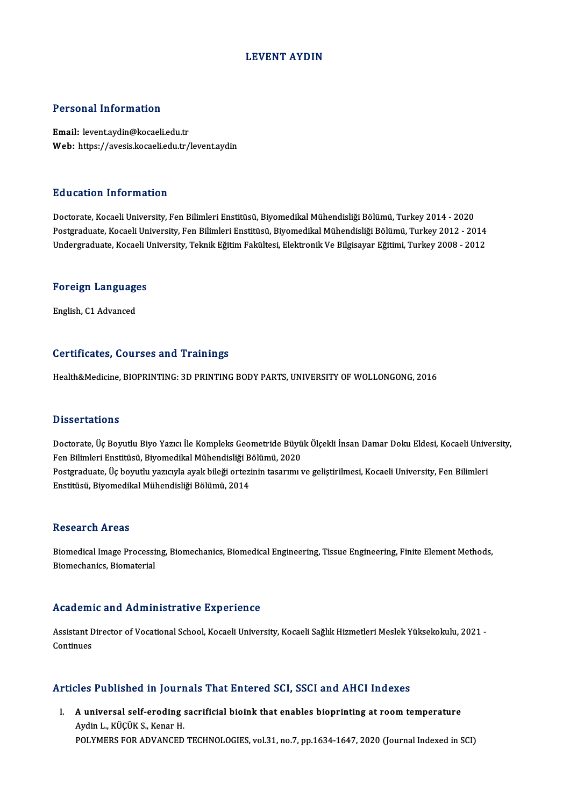## LEVENT AYDIN

## Personal Information

Email: levent.aydin@kocaeli.edu.tr Web: https://avesis.kocaeli.edu.tr/levent.aydin

## Education Information

Doctorate, Kocaeli University, Fen Bilimleri Enstitüsü, Biyomedikal Mühendisliği Bölümü, Turkey 2014 - 2020 Postgraduate, Kocaeli University, Fen Bilimleri Enstitüsü, Biyomedikal Mühendisliği Bölümü, Turkey 2012 - 2014 Undergraduate, Kocaeli University, Teknik Eğitim Fakültesi, Elektronik Ve Bilgisayar Eğitimi, Turkey 2008 - 2012

## <sub>ondergraduate, Kocaen t<br>Foreign Languages</sub> <mark>Foreign Languag</mark>e<br>English, C1 Advanced

## English, C1 Advanced<br>Certificates, Courses and Trainings

Health&Medicine, BIOPRINTING: 3D PRINTING BODY PARTS, UNIVERSITY OF WOLLONGONG, 2016

### **Dissertations**

Dissertations<br>Doctorate, Üç Boyutlu Biyo Yazıcı İle Kompleks Geometride Büyük Ölçekli İnsan Damar Doku Eldesi, Kocaeli University,<br>Fen Pilimleri Enstitüsü, Biyomedikal Mühandisliği Bölümü, 2020 Basser tatroms<br>Doctorate, Üç Boyutlu Biyo Yazıcı İle Kompleks Geometride Büyü<br>Fen Bilimleri Enstitüsü, Biyomedikal Mühendisliği Bölümü, 2020<br>Postanaduata, Üs boyutlu yazısıyla evak bileği ortarinin tesarımı v Doctorate, Üç Boyutlu Biyo Yazıcı İle Kompleks Geometride Büyük Ölçekli İnsan Damar Doku Eldesi, Kocaeli Unive<br>Fen Bilimleri Enstitüsü, Biyomedikal Mühendisliği Bölümü, 2020<br>Postgraduate, Üç boyutlu yazıcıyla ayak bileği o Fen Bilimleri Enstitüsü, Biyomedikal Mühendisliği Bölümü, 2020<br>Postgraduate, Üç boyutlu yazıcıyla ayak bileği ortezinin tasarımı ve geliştirilmesi, Kocaeli University, Fen Bilimleri<br>Enstitüsü, Biyomedikal Mühendisliği Bölü

### **Research Areas**

Research Areas<br>Biomedical Image Processing, Biomechanics, Biomedical Engineering, Tissue Engineering, Finite Element Methods,<br>Piameshanise Biameterial Rebeur en 111 eus<br>Biomedical Image Processi<br>Biomechanics, Biomaterial Biomechanics, Biomaterial<br>Academic and Administrative Experience

Academic and Administrative Experience<br>Assistant Director of Vocational School, Kocaeli University, Kocaeli Sağlık Hizmetleri Meslek Yüksekokulu, 2021 -<br>Centinues Assistant D<br>Assistant D<br>Continues Articles Published in Journals That Entered SCI, SSCI and AHCI Indexes

I. A universal self-eroding sacrificial bioink that enables bioprinting at roomtemperature AydinL.,KÜÇÜKS.,KenarH. POLYMERS FOR ADVANCED TECHNOLOGIES, vol.31, no.7, pp.1634-1647, 2020 (Journal Indexed in SCI)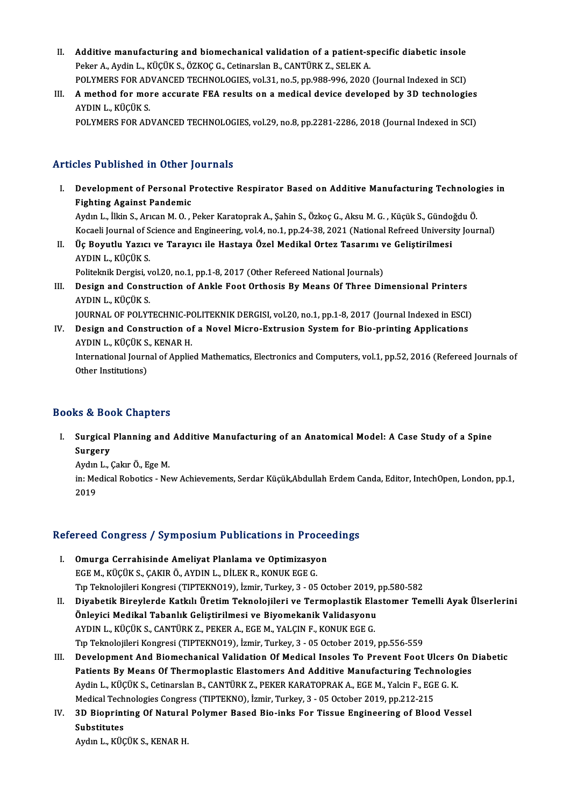- II. Additive manufacturing and biomechanical validation of a patient-specific diabetic insole<br>Reken A Audin L. VÜÇÜV S. ÖZVOC G. Cetinarelan B. CANTÜRV 7, SELEV A Additive manufacturing and biomechanical validation of a patient-s<br>Peker A., Aydin L., KÜÇÜK S., ÖZKOÇ G., Cetinarslan B., CANTÜRK Z., SELEK A.<br>POLYMERS EOR ADVANCED TECHNOLOGIES val 31 no 5 nn 988 996 3939. Additive manufacturing and biomechanical validation of a patient-specific diabetic insole<br>Peker A., Aydin L., KÜÇÜK S., ÖZKOÇ G., Cetinarslan B., CANTÜRK Z., SELEK A.<br>POLYMERS FOR ADVANCED TECHNOLOGIES, vol.31, no.5, pp.98 POLYMERS FOR ADVANCED TECHNOLOGIES, vol.31, no.5, pp.988-996, 2020 (Journal Indexed in SCI)
- Peker A., Aydin L., KÜÇÜK S., ÖZKOÇ G., Cetinarslan B., CANTÜRK Z., SELEK A.<br>POLYMERS FOR ADVANCED TECHNOLOGIES, vol.31, no.5, pp.988-996, 2020 (Journal Indexed in SCI)<br>III. A method for more accurate FEA results on a

POLYMERS FOR ADVANCED TECHNOLOGIES, vol.29, no.8, pp.2281-2286, 2018 (Journal Indexed in SCI)

## Articles Published in Other Journals

- rticles Published in Other Journals<br>I. Development of Personal Protective Respirator Based on Additive Manufacturing Technologies in<br>Righting Against Pandamic Fighting Against Personal P<br>Fighting Against Pandemic<br>Audual Lillin S. Augen M. O. Development of Personal Protective Respirator Based on Additive Manufacturing Technolog<br>Fighting Against Pandemic<br>Aydın L., İlkin S., Arıcan M. O. , Peker Karatoprak A., Şahin S., Özkoç G., Aksu M. G. , Küçük S., Gündoğdu Fighting Against Pandemic<br>Aydın L., İlkin S., Arıcan M. O. , Peker Karatoprak A., Şahin S., Özkoç G., Aksu M. G. , Küçük S., Gündoğdu Ö.<br>Kocaeli Journal of Science and Engineering, vol.4, no.1, pp.24-38, 2021 (National Ref Aydın L., İlkin S., Arıcan M. O. , Peker Karatoprak A., Şahin S., Özkoç G., Aksu M. G. , Küçük S., Gündo<br>Kocaeli Journal of Science and Engineering, vol.4, no.1, pp.24-38, 2021 (National Refreed Universi<br>II. Üç Boyutlu Yaz
- Kocaeli Journal of S<br>Üç Boyutlu Yazıcı<br>AYDIN L., KÜÇÜK S.<br>Bolitelmik Dergisi y Üç Boyutlu Yazıcı ve Tarayıcı ile Hastaya Özel Medikal Ortez Tasarımı v<br>AYDIN L., KÜÇÜK S.<br>Politeknik Dergisi, vol.20, no.1, pp.1-8, 2017 (Other Refereed National Journals)<br>Dosian and Construction of Ankle Fost Orthosis By AYDIN L., KÜÇÜK S.<br>Politeknik Dergisi, vol.20, no.1, pp.1-8, 2017 (Other Refereed National Journals)<br>III. Design and Construction of Ankle Foot Orthosis By Means Of Three Dimensional Printers<br>AYDIN L. KÜÇÜK S.
- Politeknik Dergisi, v<br><mark>Design and Const</mark><br>AYDIN L., KÜÇÜK S.<br>JOUPNAL OF POLYT Design and Construction of Ankle Foot Orthosis By Means Of Three Dimensional Printers<br>AYDIN L., KÜÇÜK S.<br>JOURNAL OF POLYTECHNIC-POLITEKNIK DERGISI, vol.20, no.1, pp.1-8, 2017 (Journal Indexed in ESCI)<br>Design and Constructi

AYDIN L., KÜÇÜK S.<br>JOURNAL OF POLYTECHNIC-POLITEKNIK DERGISI, vol.20, no.1, pp.1-8, 2017 (Journal Indexed in ESCI)<br>IV. Design and Construction of a Novel Micro-Extrusion System for Bio-printing Applications<br>AYDIN L., K JOURNAL OF POLYTECHNIC-PO<br>Design and Construction of<br>AYDIN L., KÜÇÜK S., KENAR H.<br>International Journal of Annlia Design and Construction of a Novel Micro-Extrusion System for Bio-printing Applications<br>AYDIN L., KÜÇÜK S., KENAR H.<br>International Journal of Applied Mathematics, Electronics and Computers, vol.1, pp.52, 2016 (Refereed Jou

AYDIN L., KÜÇÜK S.<br>International Journ<br>Other Institutions)

## 0ther Institutions)<br>Books & Book Chapters

ooks & Book Chapters<br>I. Surgical Planning and Additive Manufacturing of an Anatomical Model: A Case Study of a Spine<br>Sungeny Surgical<br>Surgery<br>Audual Surgical Planning and<br>Surgery<br>Aydın L., Çakır Ö., Ege M.<br>in: Medical Babatica, Na

Surgery<br>Aydın L., Çakır Ö., Ege M.<br>in: Medical Robotics - New Achievements, Serdar Küçük,Abdullah Erdem Canda, Editor, IntechOpen, London, pp.1,<br>2019 Aydın<br>in: Me<br>2019

# 2019<br>Refereed Congress / Symposium Publications in Proceedings

- efereed Congress / Symposium Publications in Procee<br>I. Omurga Cerrahisinde Ameliyat Planlama ve Optimizasyon<br>ECEM *VI*ICIIV S. CAVIP Ö AVDIN L DILEV B. KONUV ECE C I. Omurga Cerrahisinde Ameliyat Planlama ve Optimizasyon<br>EGE M., KÜÇÜK S., ÇAKIR Ö., AYDIN L., DİLEK R., KONUK EGE G. Tıp Teknolojileri Kongresi (TIPTEKNO19), İzmir, Turkey, 3 - 05 October 2019, pp.580-582 EGE M., KÜÇÜK S., ÇAKIR Ö., AYDIN L., DİLEK R., KONUK EGE G.<br>Tıp Teknolojileri Kongresi (TIPTEKNO19), İzmir, Turkey, 3 - 05 October 2019, pp.580-582<br>II. Diyabetik Bireylerde Katkılı Üretim Teknolojileri ve Termoplastik
- Tıp Teknolojileri Kongresi (TIPTEKNO19), İzmir, Turkey, 3 05 October 2019, |<br>Diyabetik Bireylerde Katkılı Üretim Teknolojileri ve Termoplastik Ela<br>Önleyici Medikal Tabanlık Geliştirilmesi ve Biyomekanik Validasyonu<br>AYDIN Önleyici Medikal Tabanlık Geliştirilmesi ve Biyomekanik Validasyonu<br>AYDIN L., KÜÇÜK S., CANTÜRK Z., PEKER A., EGE M., YALÇIN F., KONUK EGE G. Önleyici Medikal Tabanlık Geliştirilmesi ve Biyomekanik Validasyonu<br>AYDIN L., KÜÇÜK S., CANTÜRK Z., PEKER A., EGE M., YALÇIN F., KONUK EGE G.<br>Tıp Teknolojileri Kongresi (TIPTEKNO19), İzmir, Turkey, 3 - 05 October 2019, pp.
- III. Development And Biomechanical Validation Of Medical Insoles To Prevent Foot Ulcers On Diabetic<br>Patients By Means Of Thermoplastic Elastomers And Additive Manufacturing Technologies Tıp Teknolojileri Kongresi (TIPTEKNO19), İzmir, Turkey, 3 - 05 October 2019, pp.556-559<br>Development And Biomechanical Validation Of Medical Insoles To Prevent Foot Ulcers On I<br>Patients By Means Of Thermoplastic Elastomers Development And Biomechanical Validation Of Medical Insoles To Prevent Foot Ulcers (<br>Patients By Means Of Thermoplastic Elastomers And Additive Manufacturing Technolog<br>Aydin L., KÜÇÜK S., Cetinarslan B., CANTÜRK Z., PEKER Patients By Means Of Thermoplastic Elastomers And Additive Manufacturing Technologies<br>Aydin L., KÜÇÜK S., Cetinarslan B., CANTÜRK Z., PEKER KARATOPRAK A., EGE M., Yalcin F., EGI<br>Medical Technologies Congress (TIPTEKNO), İz Medical Technologies Congress (TIPTEKNO), İzmir, Turkey, 3 - 05 October 2019, pp.212-215
- IV. 3D Bioprinting Of Natural Polymer Based Bio-inks For Tissue Engineering of Blood Vessel

Aydın L., KÜÇÜK S., KENAR H.